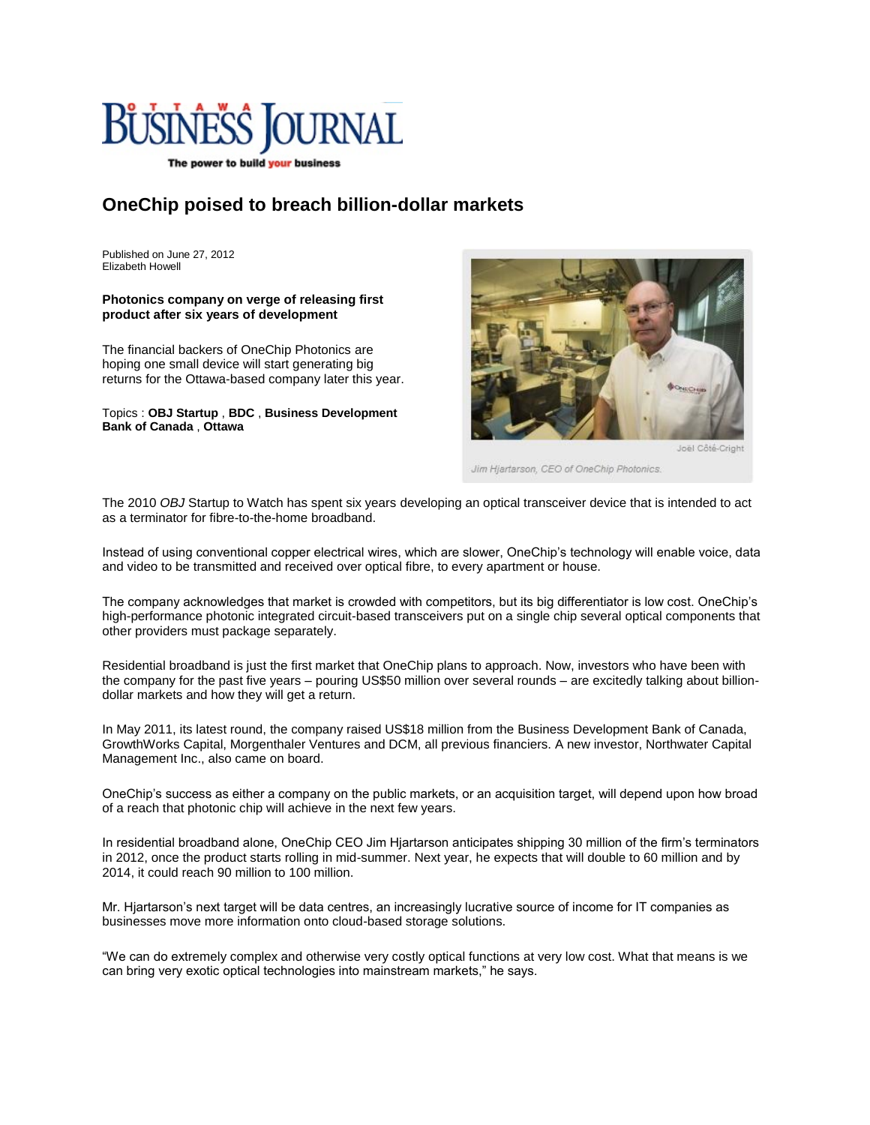

The power to build your business

## **OneChip poised to breach billion-dollar markets**

Published on June 27, 2012 Elizabeth Howell

## **Photonics company on verge of releasing first product after six years of development**

The financial backers of OneChip Photonics are hoping one small device will start generating big returns for the Ottawa-based company later this year.

Topics : **[OBJ Startup](http://www.obj.ca/?controllerName=search&action=put&searchTypesString=article&siteId=72&facetName=list_on&facetValue=OBJ%20Startup&facetCaption=OBJ%20Startup&clearFacets=1)** , **[BDC](http://www.obj.ca/?controllerName=search&action=put&searchTypesString=article&siteId=72&facetName=list_on&facetValue=BDC&facetCaption=BDC&clearFacets=1)** , **[Business Development](http://www.obj.ca/?controllerName=search&action=put&searchTypesString=article&siteId=72&facetName=list_on&facetValue=Business%20Development%20Bank%20of%20Canada&facetCaption=Business%20Development%20Bank%20of%20Canada&clearFacets=1)  [Bank of Canada](http://www.obj.ca/?controllerName=search&action=put&searchTypesString=article&siteId=72&facetName=list_on&facetValue=Business%20Development%20Bank%20of%20Canada&facetCaption=Business%20Development%20Bank%20of%20Canada&clearFacets=1)** , **[Ottawa](http://www.obj.ca/?controllerName=search&action=put&searchTypesString=article&siteId=72&facetName=list_gl&facetValue=Ottawa&facetCaption=Ottawa&clearFacets=1)**



Joël Côté-Crigh

Jim Hjartarson, CEO of OneChip Photonics.

The 2010 *OBJ* Startup to Watch has spent six years developing an optical transceiver device that is intended to act as a terminator for fibre-to-the-home broadband.

Instead of using conventional copper electrical wires, which are slower, OneChip's technology will enable voice, data and video to be transmitted and received over optical fibre, to every apartment or house.

The company acknowledges that market is crowded with competitors, but its big differentiator is low cost. OneChip's high-performance photonic integrated circuit-based transceivers put on a single chip several optical components that other providers must package separately.

Residential broadband is just the first market that OneChip plans to approach. Now, investors who have been with the company for the past five years – pouring US\$50 million over several rounds – are excitedly talking about billiondollar markets and how they will get a return.

In May 2011, its latest round, the company raised US\$18 million from the Business Development Bank of Canada, GrowthWorks Capital, Morgenthaler Ventures and DCM, all previous financiers. A new investor, Northwater Capital Management Inc., also came on board.

OneChip's success as either a company on the public markets, or an acquisition target, will depend upon how broad of a reach that photonic chip will achieve in the next few years.

In residential broadband alone, OneChip CEO Jim Hjartarson anticipates shipping 30 million of the firm's terminators in 2012, once the product starts rolling in mid-summer. Next year, he expects that will double to 60 million and by 2014, it could reach 90 million to 100 million.

Mr. Hjartarson's next target will be data centres, an increasingly lucrative source of income for IT companies as businesses move more information onto cloud-based storage solutions.

"We can do extremely complex and otherwise very costly optical functions at very low cost. What that means is we can bring very exotic optical technologies into mainstream markets," he says.